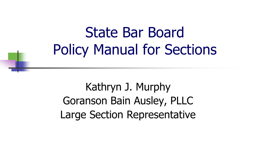## State Bar Board Policy Manual for Sections

Kathryn J. Murphy Goranson Bain Ausley, PLLC Large Section Representative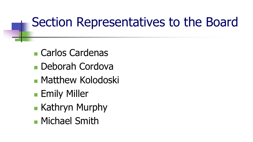## Section Representatives to the Board

- Carlos Cardenas
- Deborah Cordova
- Matthew Kolodoski
- **Emily Miller**
- **Kathryn Murphy**
- **Michael Smith**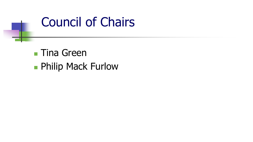

**Tina Green Philip Mack Furlow**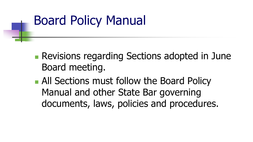## Board Policy Manual

- **Revisions regarding Sections adopted in June** Board meeting.
- **All Sections must follow the Board Policy** Manual and other State Bar governing documents, laws, policies and procedures.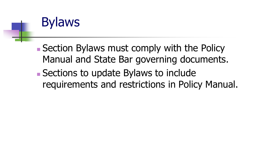## **Bylaws**

 Section Bylaws must comply with the Policy Manual and State Bar governing documents.

■ Sections to update Bylaws to include requirements and restrictions in Policy Manual.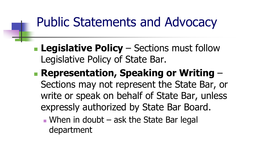## Public Statements and Advocacy

- **Legislative Policy** Sections must follow Legislative Policy of State Bar.
- **Representation, Speaking or Writing**  Sections may not represent the State Bar, or write or speak on behalf of State Bar, unless expressly authorized by State Bar Board.
	- When in doubt  $-$  ask the State Bar legal department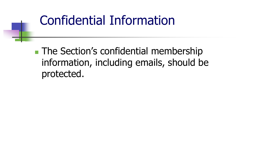### Confidential Information

■ The Section's confidential membership information, including emails, should be protected.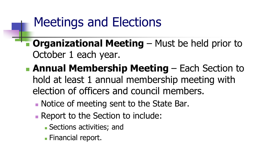## Meetings and Elections

- **Combing 1 Meeting Must be held prior to all original Meeting Must be held prior to** October 1 each year.
	- **Annual Membership Meeting**  Each Section to hold at least 1 annual membership meeting with election of officers and council members.
		- Notice of meeting sent to the State Bar.
		- Report to the Section to include:
			- Sections activities; and
			- **Financial report.**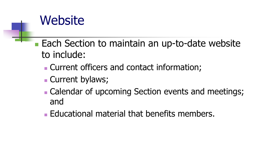#### Website

- Each Section to maintain an up-to-date website to include:
	- Current officers and contact information;
	- **Current bylaws;**
	- **Calendar of upcoming Section events and meetings;** and
	- Educational material that benefits members.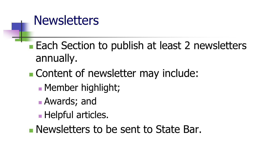#### **Newsletters**

■ Each Section to publish at least 2 newsletters annually.

**Content of newsletter may include:** 

- **Member highlight;**
- Awards; and
- **Helpful articles.**

**Newsletters to be sent to State Bar.**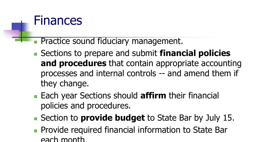

- Practice sound fiduciary management.
- Sections to prepare and submit **financial policies and procedures** that contain appropriate accounting processes and internal controls -- and amend them if they change.
- Each year Sections should **affirm** their financial policies and procedures.
- Section to **provide budget** to State Bar by July 15.
- **Provide required financial information to State Bar** each month.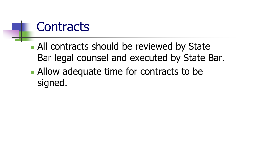#### **Contracts**

- **All contracts should be reviewed by State** Bar legal counsel and executed by State Bar.
- Allow adequate time for contracts to be signed.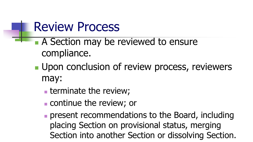#### Review Process

- A Section may be reviewed to ensure compliance.
- **Upon conclusion of review process, reviewers** may:
	- **terminate the review;**
	- continue the review; or
	- **present recommendations to the Board, including** placing Section on provisional status, merging Section into another Section or dissolving Section.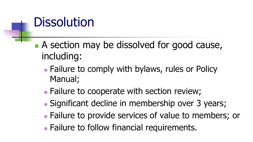## **Dissolution**

- A section may be dissolved for good cause, including:
	- Failure to comply with bylaws, rules or Policy Manual;
	- Failure to cooperate with section review;
	- Significant decline in membership over 3 years;
	- Failure to provide services of value to members; or
	- **Failure to follow financial requirements.**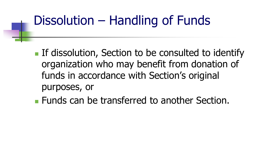## Dissolution – Handling of Funds

- **If dissolution, Section to be consulted to identify** organization who may benefit from donation of funds in accordance with Section's original purposes, or
- **Funds can be transferred to another Section.**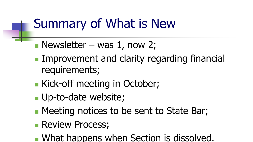## Summary of What is New

- Newsletter was 1, now 2;
- Improvement and clarity regarding financial requirements;
- Kick-off meeting in October;
- **Up-to-date website;**
- **Meeting notices to be sent to State Bar;**
- **Review Process;**
- **What happens when Section is dissolved.**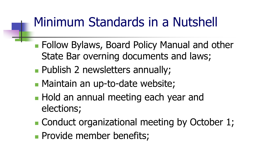## Minimum Standards in a Nutshell

- **Follow Bylaws, Board Policy Manual and other** State Bar overning documents and laws;
- **Publish 2 newsletters annually;**
- **Maintain an up-to-date website;**
- **Hold an annual meeting each year and** elections;
- Conduct organizational meeting by October 1;
- **Provide member benefits;**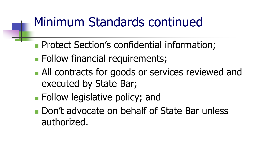## Minimum Standards continued

- **Protect Section's confidential information;**
- **Follow financial requirements;**
- All contracts for goods or services reviewed and executed by State Bar;
- **Follow legislative policy; and**
- Don't advocate on behalf of State Bar unless authorized.